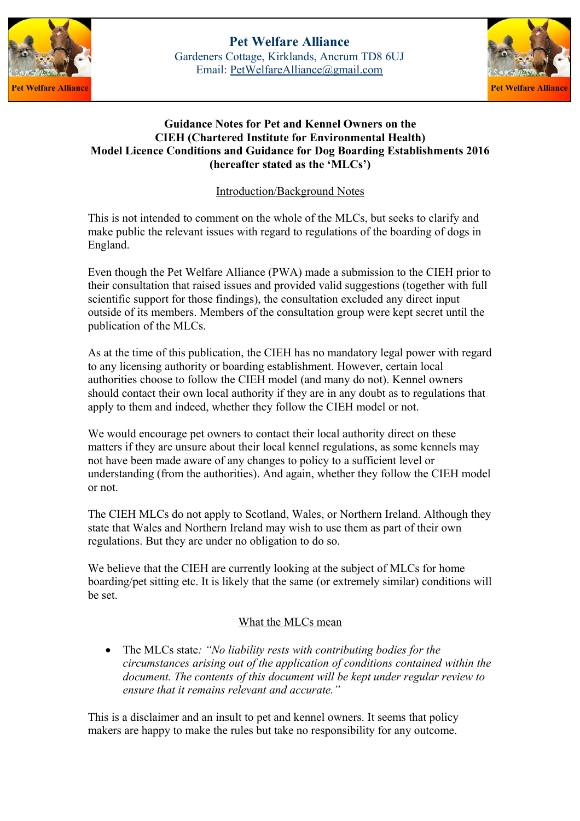



# **Guidance Notes for Pet and Kennel Owners on the CIEH (Chartered Institute for Environmental Health) Model Licence Conditions and Guidance for Dog Boarding Establishments 2016 (hereafter stated as the 'MLCs')**

Introduction/Background Notes

This is not intended to comment on the whole of the MLCs, but seeks to clarify and make public the relevant issues with regard to regulations of the boarding of dogs in England.

Even though the Pet Welfare Alliance (PWA) made a submission to the CIEH prior to their consultation that raised issues and provided valid suggestions (together with full scientific support for those findings), the consultation excluded any direct input outside of its members. Members of the consultation group were kept secret until the publication of the MLCs.

As at the time of this publication, the CIEH has no mandatory legal power with regard to any licensing authority or boarding establishment. However, certain local authorities choose to follow the CIEH model (and many do not). Kennel owners should contact their own local authority if they are in any doubt as to regulations that apply to them and indeed, whether they follow the CIEH model or not.

We would encourage pet owners to contact their local authority direct on these matters if they are unsure about their local kennel regulations, as some kennels may not have been made aware of any changes to policy to a sufficient level or understanding (from the authorities). And again, whether they follow the CIEH model or not.

The CIEH MLCs do not apply to Scotland, Wales, or Northern Ireland. Although they state that Wales and Northern Ireland may wish to use them as part of their own regulations. But they are under no obligation to do so.

We believe that the CIEH are currently looking at the subject of MLCs for home boarding/pet sitting etc. It is likely that the same (or extremely similar) conditions will be set.

# What the MLCs mean

 The MLCs state*: "No liability rests with contributing bodies for the circumstances arising out of the application of conditions contained within the document. The contents of this document will be kept under regular review to ensure that it remains relevant and accurate."*

This is a disclaimer and an insult to pet and kennel owners. It seems that policy makers are happy to make the rules but take no responsibility for any outcome.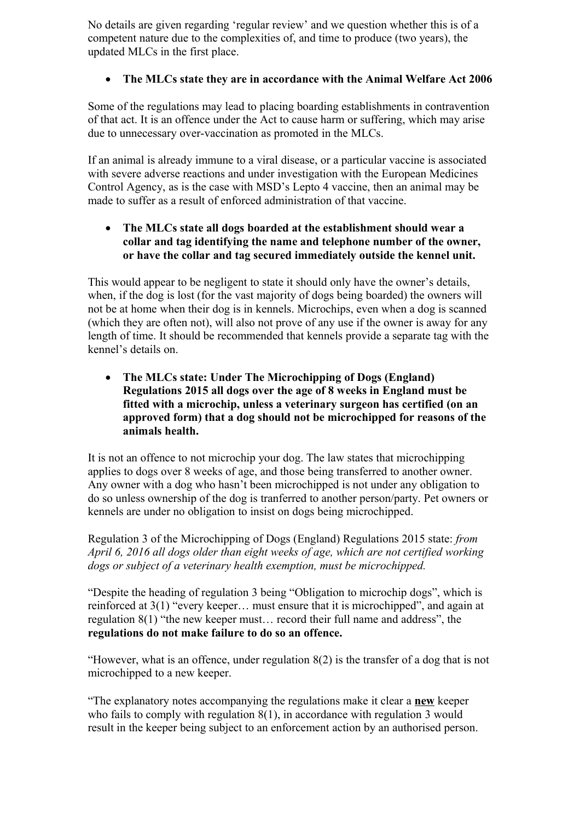No details are given regarding 'regular review' and we question whether this is of a competent nature due to the complexities of, and time to produce (two years), the updated MLCs in the first place.

# **The MLCs state they are in accordance with the Animal Welfare Act 2006**

Some of the regulations may lead to placing boarding establishments in contravention of that act. It is an offence under the Act to cause harm or suffering, which may arise due to unnecessary over-vaccination as promoted in the MLCs.

If an animal is already immune to a viral disease, or a particular vaccine is associated with severe adverse reactions and under investigation with the European Medicines Control Agency, as is the case with MSD's Lepto 4 vaccine, then an animal may be made to suffer as a result of enforced administration of that vaccine.

# **The MLCs state all dogs boarded at the establishment should wear a collar and tag identifying the name and telephone number of the owner, or have the collar and tag secured immediately outside the kennel unit.**

This would appear to be negligent to state it should only have the owner's details, when, if the dog is lost (for the vast majority of dogs being boarded) the owners will not be at home when their dog is in kennels. Microchips, even when a dog is scanned (which they are often not), will also not prove of any use if the owner is away for any length of time. It should be recommended that kennels provide a separate tag with the kennel's details on.

 **The MLCs state: Under The Microchipping of Dogs (England) Regulations 2015 all dogs over the age of 8 weeks in England must be fitted with a microchip, unless a veterinary surgeon has certified (on an approved form) that a dog should not be microchipped for reasons of the animals health.**

It is not an offence to not microchip your dog. The law states that microchipping applies to dogs over 8 weeks of age, and those being transferred to another owner. Any owner with a dog who hasn't been microchipped is not under any obligation to do so unless ownership of the dog is tranferred to another person/party. Pet owners or kennels are under no obligation to insist on dogs being microchipped.

Regulation 3 of the Microchipping of Dogs (England) Regulations 2015 state: *from April 6, 2016 all dogs older than eight weeks of age, which are not certified working dogs or subject of a veterinary health exemption, must be microchipped.*

"Despite the heading of regulation 3 being "Obligation to microchip dogs", which is reinforced at 3(1) "every keeper… must ensure that it is microchipped", and again at regulation 8(1) "the new keeper must… record their full name and address", the **regulations do not make failure to do so an offence.**

"However, what is an offence, under regulation 8(2) is the transfer of a dog that is not microchipped to a new keeper.

"The explanatory notes accompanying the regulations make it clear a **new** keeper who fails to comply with regulation 8(1), in accordance with regulation 3 would result in the keeper being subject to an enforcement action by an authorised person.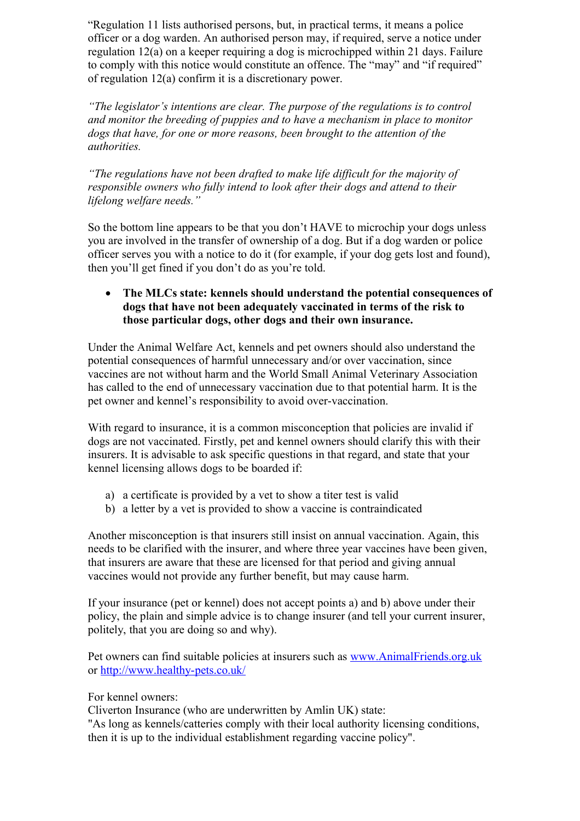"Regulation 11 lists authorised persons, but, in practical terms, it means a police officer or a dog warden. An authorised person may, if required, serve a notice under regulation 12(a) on a keeper requiring a dog is microchipped within 21 days. Failure to comply with this notice would constitute an offence. The "may" and "if required" of regulation 12(a) confirm it is a discretionary power.

*"The legislator's intentions are clear. The purpose of the regulations is to control and monitor the breeding of puppies and to have a mechanism in place to monitor dogs that have, for one or more reasons, been brought to the attention of the authorities.*

*"The regulations have not been drafted to make life difficult for the majority of responsible owners who fully intend to look after their dogs and attend to their lifelong welfare needs."*

So the bottom line appears to be that you don't HAVE to microchip your dogs unless you are involved in the transfer of ownership of a dog. But if a dog warden or police officer serves you with a notice to do it (for example, if your dog gets lost and found), then you'll get fined if you don't do as you're told.

# **The MLCs state: kennels should understand the potential consequences of dogs that have not been adequately vaccinated in terms of the risk to those particular dogs, other dogs and their own insurance.**

Under the Animal Welfare Act, kennels and pet owners should also understand the potential consequences of harmful unnecessary and/or over vaccination, since vaccines are not without harm and the World Small Animal Veterinary Association has called to the end of unnecessary vaccination due to that potential harm. It is the pet owner and kennel's responsibility to avoid over-vaccination.

With regard to insurance, it is a common misconception that policies are invalid if dogs are not vaccinated. Firstly, pet and kennel owners should clarify this with their insurers. It is advisable to ask specific questions in that regard, and state that your kennel licensing allows dogs to be boarded if:

- a) a certificate is provided by a vet to show a titer test is valid
- b) a letter by a vet is provided to show a vaccine is contraindicated

Another misconception is that insurers still insist on annual vaccination. Again, this needs to be clarified with the insurer, and where three year vaccines have been given, that insurers are aware that these are licensed for that period and giving annual vaccines would not provide any further benefit, but may cause harm.

If your insurance (pet or kennel) does not accept points a) and b) above under their policy, the plain and simple advice is to change insurer (and tell your current insurer, politely, that you are doing so and why).

Pet owners can find suitable policies at insurers such as [www.AnimalFriends.org.uk](http://www.AnimalFriends.org.uk/) or<http://www.healthy-pets.co.uk/>

For kennel owners:

Cliverton Insurance (who are underwritten by Amlin UK) state:

"As long as kennels/catteries comply with their local authority licensing conditions, then it is up to the individual establishment regarding vaccine policy".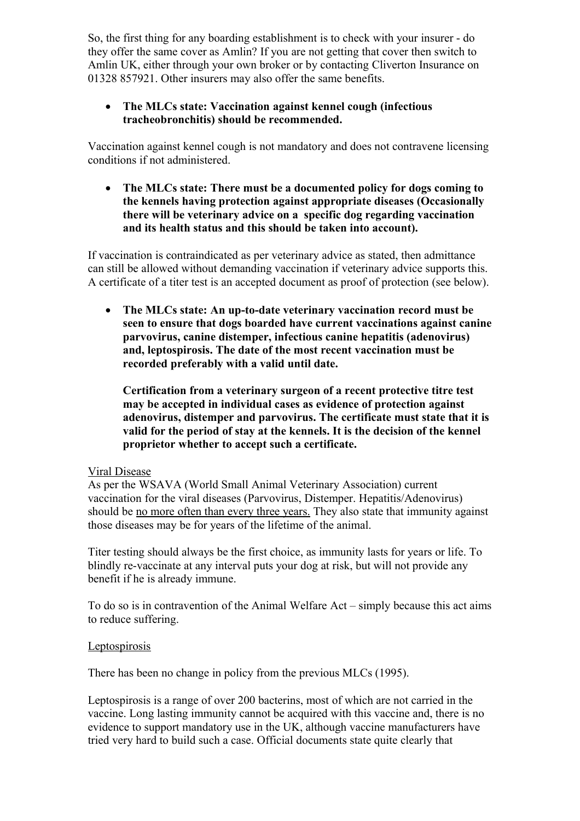So, the first thing for any boarding establishment is to check with your insurer - do they offer the same cover as Amlin? If you are not getting that cover then switch to Amlin UK, either through your own broker or by contacting Cliverton Insurance on 01328 857921. Other insurers may also offer the same benefits.

## **The MLCs state: Vaccination against kennel cough (infectious tracheobronchitis) should be recommended.**

Vaccination against kennel cough is not mandatory and does not contravene licensing conditions if not administered.

 **The MLCs state: There must be a documented policy for dogs coming to the kennels having protection against appropriate diseases (Occasionally there will be veterinary advice on a specific dog regarding vaccination and its health status and this should be taken into account).**

If vaccination is contraindicated as per veterinary advice as stated, then admittance can still be allowed without demanding vaccination if veterinary advice supports this. A certificate of a titer test is an accepted document as proof of protection (see below).

 **The MLCs state: An up-to-date veterinary vaccination record must be seen to ensure that dogs boarded have current vaccinations against canine parvovirus, canine distemper, infectious canine hepatitis (adenovirus) and, leptospirosis. The date of the most recent vaccination must be recorded preferably with a valid until date.**

**Certification from a veterinary surgeon of a recent protective titre test may be accepted in individual cases as evidence of protection against adenovirus, distemper and parvovirus. The certificate must state that it is valid for the period of stay at the kennels. It is the decision of the kennel proprietor whether to accept such a certificate.**

### Viral Disease

As per the WSAVA (World Small Animal Veterinary Association) current vaccination for the viral diseases (Parvovirus, Distemper. Hepatitis/Adenovirus) should be no more often than every three years. They also state that immunity against those diseases may be for years of the lifetime of the animal.

Titer testing should always be the first choice, as immunity lasts for years or life. To blindly re-vaccinate at any interval puts your dog at risk, but will not provide any benefit if he is already immune.

To do so is in contravention of the Animal Welfare Act – simply because this act aims to reduce suffering.

### Leptospirosis

There has been no change in policy from the previous MLCs (1995).

Leptospirosis is a range of over 200 bacterins, most of which are not carried in the vaccine. Long lasting immunity cannot be acquired with this vaccine and, there is no evidence to support mandatory use in the UK, although vaccine manufacturers have tried very hard to build such a case. Official documents state quite clearly that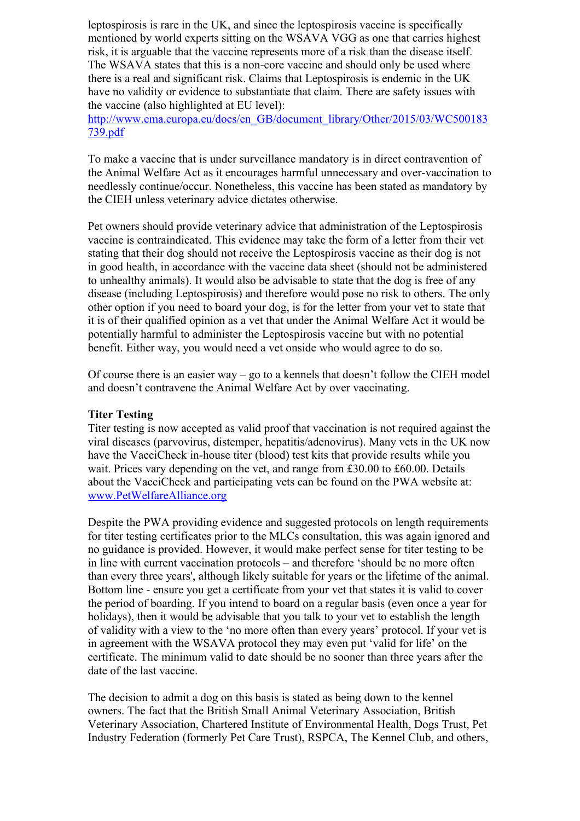leptospirosis is rare in the UK, and since the leptospirosis vaccine is specifically mentioned by world experts sitting on the WSAVA VGG as one that carries highest risk, it is arguable that the vaccine represents more of a risk than the disease itself. The WSAVA states that this is a non-core vaccine and should only be used where there is a real and significant risk. Claims that Leptospirosis is endemic in the UK have no validity or evidence to substantiate that claim. There are safety issues with the vaccine (also highlighted at EU level):

[http://www.ema.europa.eu/docs/en\\_GB/document\\_library/Other/2015/03/WC500183](http://www.ema.europa.eu/docs/en_GB/document_library/Other/2015/03/WC500183739.pdf) [739.pdf](http://www.ema.europa.eu/docs/en_GB/document_library/Other/2015/03/WC500183739.pdf) 

To make a vaccine that is under surveillance mandatory is in direct contravention of the Animal Welfare Act as it encourages harmful unnecessary and over-vaccination to needlessly continue/occur. Nonetheless, this vaccine has been stated as mandatory by the CIEH unless veterinary advice dictates otherwise.

Pet owners should provide veterinary advice that administration of the Leptospirosis vaccine is contraindicated. This evidence may take the form of a letter from their vet stating that their dog should not receive the Leptospirosis vaccine as their dog is not in good health, in accordance with the vaccine data sheet (should not be administered to unhealthy animals). It would also be advisable to state that the dog is free of any disease (including Leptospirosis) and therefore would pose no risk to others. The only other option if you need to board your dog, is for the letter from your vet to state that it is of their qualified opinion as a vet that under the Animal Welfare Act it would be potentially harmful to administer the Leptospirosis vaccine but with no potential benefit. Either way, you would need a vet onside who would agree to do so.

Of course there is an easier way – go to a kennels that doesn't follow the CIEH model and doesn't contravene the Animal Welfare Act by over vaccinating.

### **Titer Testing**

Titer testing is now accepted as valid proof that vaccination is not required against the viral diseases (parvovirus, distemper, hepatitis/adenovirus). Many vets in the UK now have the VacciCheck in-house titer (blood) test kits that provide results while you wait. Prices vary depending on the vet, and range from £30.00 to £60.00. Details about the VacciCheck and participating vets can be found on the PWA website at: [www.PetWelfareAlliance.org](http://www.PetWelfareAlliance.org/)

Despite the PWA providing evidence and suggested protocols on length requirements for titer testing certificates prior to the MLCs consultation, this was again ignored and no guidance is provided. However, it would make perfect sense for titer testing to be in line with current vaccination protocols – and therefore 'should be no more often than every three years', although likely suitable for years or the lifetime of the animal. Bottom line - ensure you get a certificate from your vet that states it is valid to cover the period of boarding. If you intend to board on a regular basis (even once a year for holidays), then it would be advisable that you talk to your vet to establish the length of validity with a view to the 'no more often than every years' protocol. If your vet is in agreement with the WSAVA protocol they may even put 'valid for life' on the certificate. The minimum valid to date should be no sooner than three years after the date of the last vaccine.

The decision to admit a dog on this basis is stated as being down to the kennel owners. The fact that the British Small Animal Veterinary Association, British Veterinary Association, Chartered Institute of Environmental Health, Dogs Trust, Pet Industry Federation (formerly Pet Care Trust), RSPCA, The Kennel Club, and others,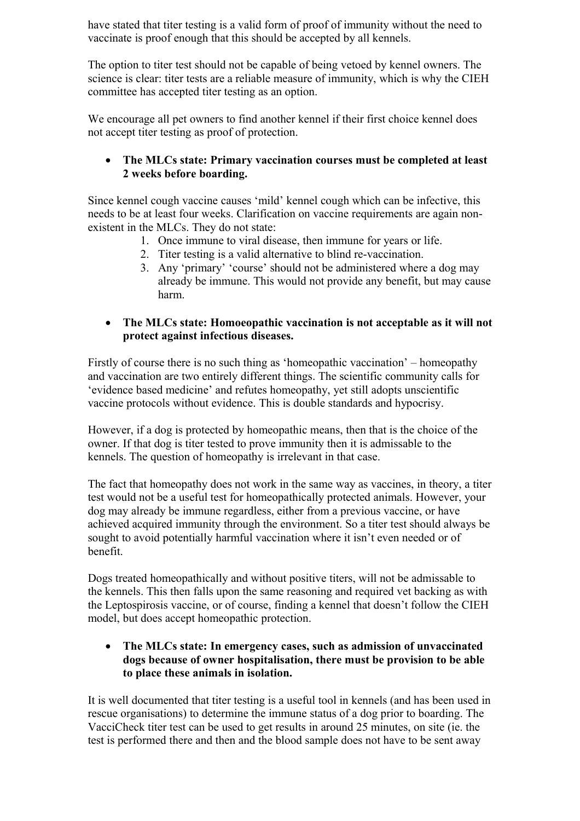have stated that titer testing is a valid form of proof of immunity without the need to vaccinate is proof enough that this should be accepted by all kennels.

The option to titer test should not be capable of being vetoed by kennel owners. The science is clear: titer tests are a reliable measure of immunity, which is why the CIEH committee has accepted titer testing as an option.

We encourage all pet owners to find another kennel if their first choice kennel does not accept titer testing as proof of protection.

# **The MLCs state: Primary vaccination courses must be completed at least 2 weeks before boarding.**

Since kennel cough vaccine causes 'mild' kennel cough which can be infective, this needs to be at least four weeks. Clarification on vaccine requirements are again nonexistent in the MLCs. They do not state:

- 1. Once immune to viral disease, then immune for years or life.
- 2. Titer testing is a valid alternative to blind re-vaccination.
- 3. Any 'primary' 'course' should not be administered where a dog may already be immune. This would not provide any benefit, but may cause harm.

# **The MLCs state: Homoeopathic vaccination is not acceptable as it will not protect against infectious diseases.**

Firstly of course there is no such thing as 'homeopathic vaccination' – homeopathy and vaccination are two entirely different things. The scientific community calls for 'evidence based medicine' and refutes homeopathy, yet still adopts unscientific vaccine protocols without evidence. This is double standards and hypocrisy.

However, if a dog is protected by homeopathic means, then that is the choice of the owner. If that dog is titer tested to prove immunity then it is admissable to the kennels. The question of homeopathy is irrelevant in that case.

The fact that homeopathy does not work in the same way as vaccines, in theory, a titer test would not be a useful test for homeopathically protected animals. However, your dog may already be immune regardless, either from a previous vaccine, or have achieved acquired immunity through the environment. So a titer test should always be sought to avoid potentially harmful vaccination where it isn't even needed or of benefit.

Dogs treated homeopathically and without positive titers, will not be admissable to the kennels. This then falls upon the same reasoning and required vet backing as with the Leptospirosis vaccine, or of course, finding a kennel that doesn't follow the CIEH model, but does accept homeopathic protection.

# **The MLCs state: In emergency cases, such as admission of unvaccinated dogs because of owner hospitalisation, there must be provision to be able to place these animals in isolation.**

It is well documented that titer testing is a useful tool in kennels (and has been used in rescue organisations) to determine the immune status of a dog prior to boarding. The VacciCheck titer test can be used to get results in around 25 minutes, on site (ie. the test is performed there and then and the blood sample does not have to be sent away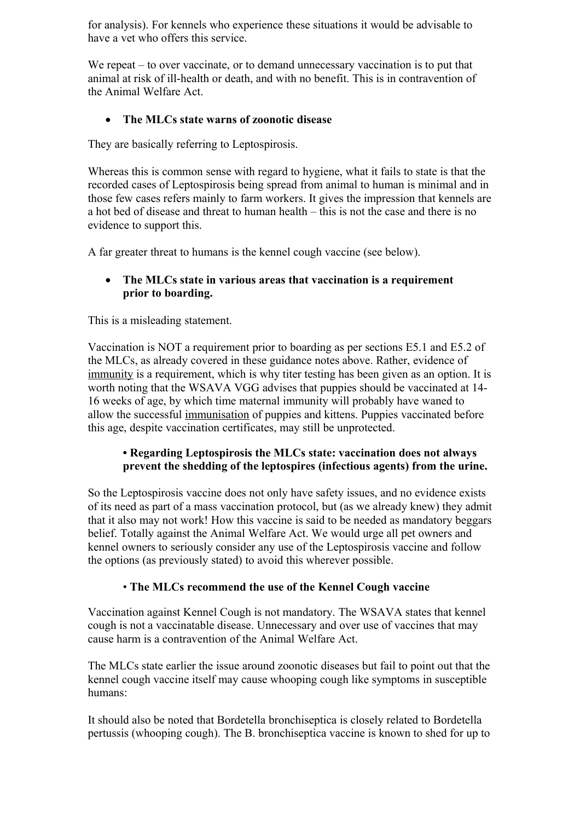for analysis). For kennels who experience these situations it would be advisable to have a vet who offers this service.

We repeat – to over vaccinate, or to demand unnecessary vaccination is to put that animal at risk of ill-health or death, and with no benefit. This is in contravention of the Animal Welfare Act.

# **The MLCs state warns of zoonotic disease**

They are basically referring to Leptospirosis.

Whereas this is common sense with regard to hygiene, what it fails to state is that the recorded cases of Leptospirosis being spread from animal to human is minimal and in those few cases refers mainly to farm workers. It gives the impression that kennels are a hot bed of disease and threat to human health – this is not the case and there is no evidence to support this.

A far greater threat to humans is the kennel cough vaccine (see below).

# **The MLCs state in various areas that vaccination is a requirement prior to boarding.**

This is a misleading statement.

Vaccination is NOT a requirement prior to boarding as per sections E5.1 and E5.2 of the MLCs, as already covered in these guidance notes above. Rather, evidence of immunity is a requirement, which is why titer testing has been given as an option. It is worth noting that the WSAVA VGG advises that puppies should be vaccinated at 14- 16 weeks of age, by which time maternal immunity will probably have waned to allow the successful immunisation of puppies and kittens. Puppies vaccinated before this age, despite vaccination certificates, may still be unprotected.

# **• Regarding Leptospirosis the MLCs state: vaccination does not always prevent the shedding of the leptospires (infectious agents) from the urine.**

So the Leptospirosis vaccine does not only have safety issues, and no evidence exists of its need as part of a mass vaccination protocol, but (as we already knew) they admit that it also may not work! How this vaccine is said to be needed as mandatory beggars belief. Totally against the Animal Welfare Act. We would urge all pet owners and kennel owners to seriously consider any use of the Leptospirosis vaccine and follow the options (as previously stated) to avoid this wherever possible.

# • **The MLCs recommend the use of the Kennel Cough vaccine**

Vaccination against Kennel Cough is not mandatory. The WSAVA states that kennel cough is not a vaccinatable disease. Unnecessary and over use of vaccines that may cause harm is a contravention of the Animal Welfare Act.

The MLCs state earlier the issue around zoonotic diseases but fail to point out that the kennel cough vaccine itself may cause whooping cough like symptoms in susceptible humans:

It should also be noted that Bordetella bronchiseptica is closely related to Bordetella pertussis (whooping cough). The B. bronchiseptica vaccine is known to shed for up to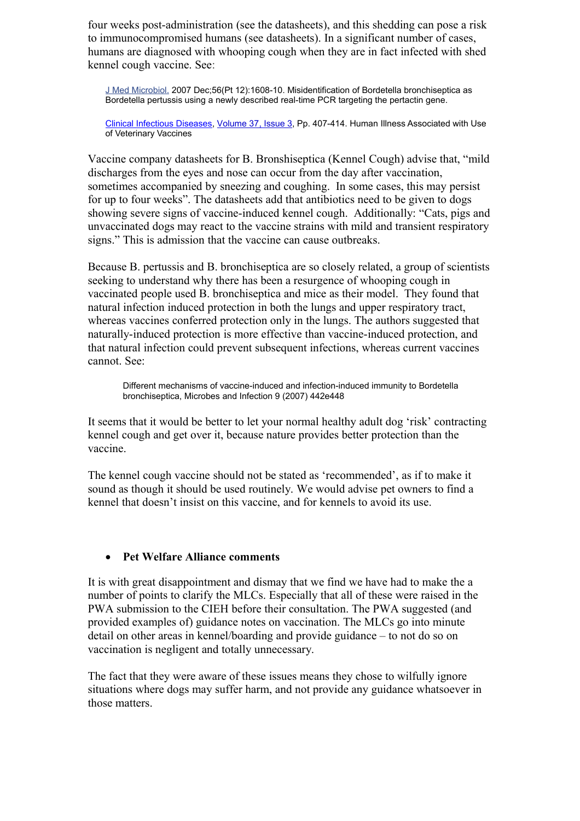four weeks post-administration (see the datasheets), and this shedding can pose a risk to immunocompromised humans (see datasheets). In a significant number of cases, humans are diagnosed with whooping cough when they are in fact infected with shed kennel cough vaccine. See:

[J Med Microbiol.](http://www.ncbi.nlm.nih.gov/pubmed/18033827) 2007 Dec;56(Pt 12):1608-10. Misidentification of Bordetella bronchiseptica as Bordetella pertussis using a newly described real-time PCR targeting the pertactin gene.

[Clinical Infectious Diseases,](http://cid.oxfordjournals.org/) [Volume 37,](http://cid.oxfordjournals.org/content/37/3.toc) Issue 3, Pp. 407-414. Human Illness Associated with Use of Veterinary Vaccines

Vaccine company datasheets for B. Bronshiseptica (Kennel Cough) advise that, "mild discharges from the eyes and nose can occur from the day after vaccination, sometimes accompanied by sneezing and coughing. In some cases, this may persist for up to four weeks". The datasheets add that antibiotics need to be given to dogs showing severe signs of vaccine-induced kennel cough. Additionally: "Cats, pigs and unvaccinated dogs may react to the vaccine strains with mild and transient respiratory signs." This is admission that the vaccine can cause outbreaks.

Because B. pertussis and B. bronchiseptica are so closely related, a group of scientists seeking to understand why there has been a resurgence of whooping cough in vaccinated people used B. bronchiseptica and mice as their model. They found that natural infection induced protection in both the lungs and upper respiratory tract, whereas vaccines conferred protection only in the lungs. The authors suggested that naturally-induced protection is more effective than vaccine-induced protection, and that natural infection could prevent subsequent infections, whereas current vaccines cannot. See:

Different mechanisms of vaccine-induced and infection-induced immunity to Bordetella bronchiseptica, Microbes and Infection 9 (2007) 442e448

It seems that it would be better to let your normal healthy adult dog 'risk' contracting kennel cough and get over it, because nature provides better protection than the vaccine.

The kennel cough vaccine should not be stated as 'recommended', as if to make it sound as though it should be used routinely. We would advise pet owners to find a kennel that doesn't insist on this vaccine, and for kennels to avoid its use.

### **Pet Welfare Alliance comments**

It is with great disappointment and dismay that we find we have had to make the a number of points to clarify the MLCs. Especially that all of these were raised in the PWA submission to the CIEH before their consultation. The PWA suggested (and provided examples of) guidance notes on vaccination. The MLCs go into minute detail on other areas in kennel/boarding and provide guidance – to not do so on vaccination is negligent and totally unnecessary.

The fact that they were aware of these issues means they chose to wilfully ignore situations where dogs may suffer harm, and not provide any guidance whatsoever in those matters.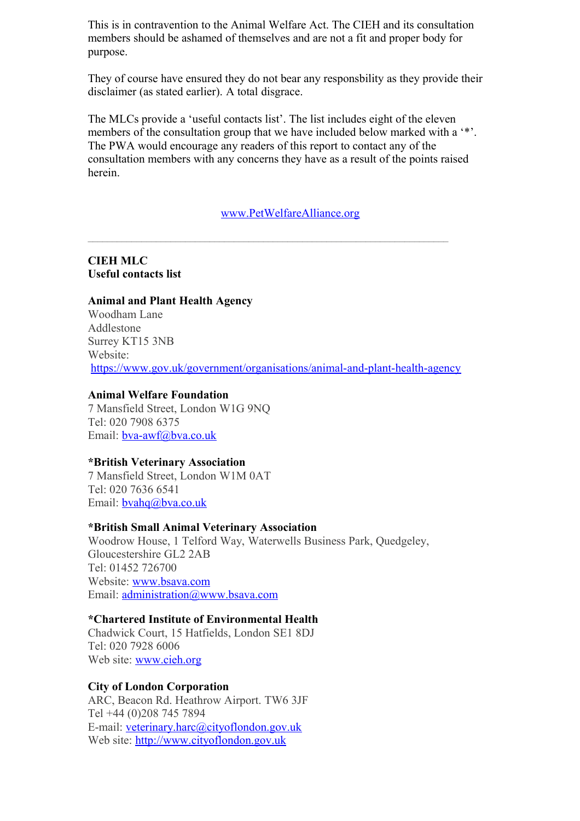This is in contravention to the Animal Welfare Act. The CIEH and its consultation members should be ashamed of themselves and are not a fit and proper body for purpose.

They of course have ensured they do not bear any responsbility as they provide their disclaimer (as stated earlier). A total disgrace.

The MLCs provide a 'useful contacts list'. The list includes eight of the eleven members of the consultation group that we have included below marked with a '\*'. The PWA would encourage any readers of this report to contact any of the consultation members with any concerns they have as a result of the points raised herein.

### [www.PetWelfareAlliance.org](http://www.PetWelfareAlliance.org/)

 $\mathcal{L}_\text{max}$ 

**CIEH MLC Useful contacts list**

#### **Animal and Plant Health Agency**

Woodham Lane Addlestone Surrey KT15 3NB Website: <https://www.gov.uk/government/organisations/animal-and-plant-health-agency>

### **Animal Welfare Foundation**

7 Mansfield Street, London W1G 9NQ Tel: 020 7908 6375 Email: [bva-awf@bva.co.uk](mailto:bva-awf@bva.co.uk)

### **\*British Veterinary Association**

7 Mansfield Street, London W1M 0AT Tel: 020 7636 6541 Email: [bvahq@bva.co.uk](mailto:bvahq@bva.co.uk)

### **\*British Small Animal Veterinary Association**

Woodrow House, 1 Telford Way, Waterwells Business Park, Quedgeley, Gloucestershire GL2 2AB Tel: 01452 726700 Website: [www.bsava.com](http://www.bsava.com/) Email: [administration@www.bsava.com](mailto:administration@www.bsava.com)

#### **\*Chartered Institute of Environmental Health**

Chadwick Court, 15 Hatfields, London SE1 8DJ Tel: 020 7928 6006 Web site: [www.cieh.org](http://www.cieh.org/)

#### **City of London Corporation**

ARC, Beacon Rd. Heathrow Airport. TW6 3JF Tel +44 (0)208 745 7894 E-mail: [veterinary.harc@cityoflondon.gov.uk](mailto:veterinary.harc@cityoflondon.gov.uk) Web site: [http://www.cityoflondon.gov.uk](http://www.cityoflondon.gov.uk/)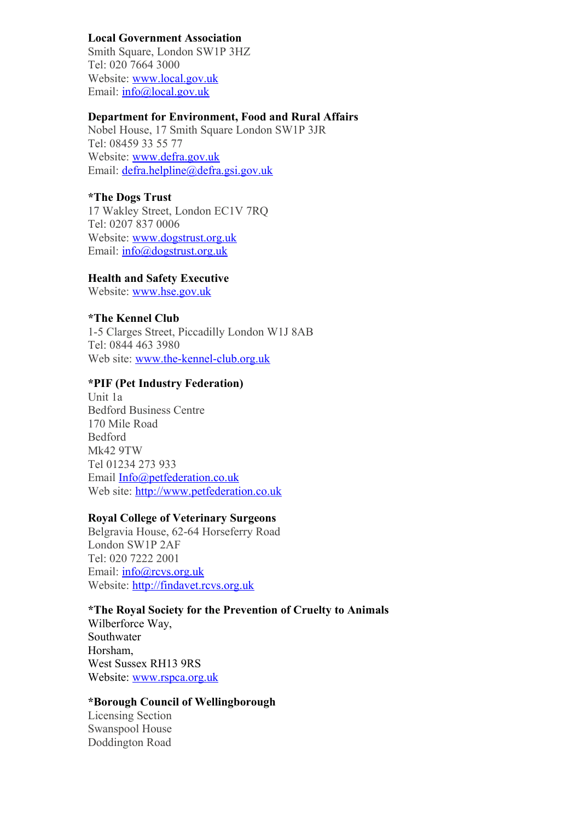## **Local Government Association**

Smith Square, London SW1P 3HZ Tel: 020 7664 3000 Website: [www.local.gov.uk](http://www.local.gov.uk/) Email: [info@local.gov.uk](mailto:info@local.gov.uk)

## **Department for Environment, Food and Rural Affairs**

Nobel House, 17 Smith Square London SW1P 3JR Tel: 08459 33 55 77 Website: [www.defra.gov.uk](http://www.defra.gov.uk/) Email: [defra.helpline@defra.gsi.gov.uk](mailto:defra.helpline@defra.gsi.gov.uk)

## **\*The Dogs Trust**

17 Wakley Street, London EC1V 7RQ Tel: 0207 837 0006 Website: [www.dogstrust.org.uk](http://www.dogstrust.org.uk/) Email: [info@dogstrust.org.uk](mailto:info@dogstrust.org.uk)

### **Health and Safety Executive**

Website: [www.hse.gov.uk](http://www.hse.gov.uk/)

## **\*The Kennel Club**

1-5 Clarges Street, Piccadilly London W1J 8AB Tel: 0844 463 3980 Web site: [www.the-kennel-club.org.uk](http://www.the-kennel-club.org.uk/)

## **\*PIF (Pet Industry Federation)**

Unit 1a Bedford Business Centre 170 Mile Road Bedford Mk42 9TW Tel 01234 273 933 Email [Info@petfederation.co.uk](mailto:Info@petfederation.co.uk) Web site: [http://www.petfederation.co.uk](http://www.petfederation.co.uk/)

### **Royal College of Veterinary Surgeons**

Belgravia House, 62-64 Horseferry Road London SW1P 2AF Tel: 020 7222 2001 Email: [info@rcvs.org.uk](mailto:info@rcvs.org.uk) Website: [http://findavet.rcvs.org.uk](http://findavet.rcvs.org.uk/)

### **\*The Royal Society for the Prevention of Cruelty to Animals**

Wilberforce Way, Southwater Horsham, West Sussex RH13 9RS Website: [www.rspca.org.uk](http://www.rspca.org.uk/)

# **\*Borough Council of Wellingborough**

Licensing Section Swanspool House Doddington Road